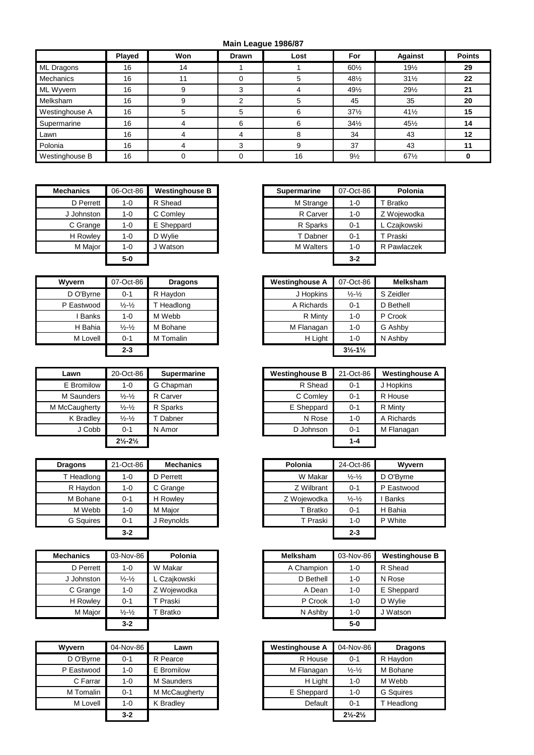## **Main League 1986/87**

|                | Played | Won | Drawn | Lost | For             | <b>Against</b>  | <b>Points</b> |
|----------------|--------|-----|-------|------|-----------------|-----------------|---------------|
| ML Dragons     | 16     | 14  |       |      | 601/2           | $19\frac{1}{2}$ | 29            |
| Mechanics      | 16     | 11  | 0     |      | 481/2           | $31\frac{1}{2}$ | 22            |
| ML Wyvern      | 16     | 9   |       |      | 491/2           | 291/2           | 21            |
| Melksham       | 16     |     |       |      | 45              | 35              | 20            |
| Westinghouse A | 16     |     | 5     | h    | $37\frac{1}{2}$ | $41\frac{1}{2}$ | 15            |
| Supermarine    | 16     |     | 6     |      | $34\frac{1}{2}$ | 451/2           | 14            |
| Lawn           | 16     | 4   |       |      | 34              | 43              | 12            |
| Polonia        | 16     | 4   |       |      | 37              | 43              | 11            |
| Westinghouse B | 16     |     |       | 16   | $9\frac{1}{2}$  | 67%             |               |

| <b>Mechanics</b> | 06-Oct-86 | <b>Westinghouse B</b> |
|------------------|-----------|-----------------------|
| D Perrett        | $1 - 0$   | R Shead               |
| J Johnston       | 1-0       | C Comley              |
| C Grange         | $1 - 0$   | E Sheppard            |
| H Rowley         | $1 - 0$   | D Wylie               |
| M Major          | $1 - 0$   | J Watson              |
|                  | $5-0$     |                       |

| Wyvern     | 07-Oct-86                   | <b>Dragons</b> | <b>Westinghouse A</b> | 07-Oct-86                     |
|------------|-----------------------------|----------------|-----------------------|-------------------------------|
| D O'Byrne  | $0 - 1$                     | R Haydon       | J Hopkins             | $\frac{1}{2} - \frac{1}{2}$   |
| P Eastwood | $\frac{1}{2} - \frac{1}{2}$ | T Headlong     | A Richards            | $0 - 1$                       |
| Banks      | $1 - 0$                     | M Webb         | R Minty               | $1 - 0$                       |
| H Bahia    | $\frac{1}{2} - \frac{1}{2}$ | M Bohane       | M Flanagan            | 1-0                           |
| M Lovell   | $0 - 1$                     | M Tomalin      | H Light               | $1 - 0$                       |
|            | $2 - 3$                     |                |                       | $3\frac{1}{2} - 1\frac{1}{2}$ |

| Lawn          | 20-Oct-86                     | <b>Supermarine</b> | <b>Westinghouse B</b> | 21-Oct-86 | Westing   |
|---------------|-------------------------------|--------------------|-----------------------|-----------|-----------|
| E Bromilow    | $1 - 0$                       | G Chapman          | R Shead               | $0 - 1$   | J Hopkins |
| M Saunders    | $\frac{1}{2} - \frac{1}{2}$   | R Carver           | C Comley              | $0 - 1$   | R House   |
| M McCaugherty | $\frac{1}{2} - \frac{1}{2}$   | R Sparks           | E Sheppard            | $0 - 1$   | R Minty   |
| K Bradley     | $\frac{1}{2} - \frac{1}{2}$   | Dabner             | N Rose                | $1 - 0$   | A Richard |
| J Cobb        | $0 - 1$                       | N Amor             | D Johnson             | $0 - 1$   | M Flanaga |
|               | $2\frac{1}{2} - 2\frac{1}{2}$ |                    |                       | $1 - 4$   |           |

| <b>Dragons</b>   | 21-Oct-86 | <b>Mechanics</b> | Polonia     | 24-Oct-86                   | Wyvern     |
|------------------|-----------|------------------|-------------|-----------------------------|------------|
| T Headlong       | $1 - 0$   | D Perrett        | W Makar     | $\frac{1}{2} - \frac{1}{2}$ | D O'Byrne  |
| R Haydon         | $1 - 0$   | C Grange         | Z Wilbrant  | $0 - 1$                     | P Eastwood |
| M Bohane         | $0 - 1$   | H Rowley         | Z Woiewodka | $\frac{1}{2} - \frac{1}{2}$ | I Banks    |
| M Webb           | $1 - 0$   | M Major          | T Bratko    | $0 - 1$                     | H Bahia    |
| <b>G</b> Squires | $0 - 1$   | J Revnolds       | T Praski    | $1 - 0$                     | P White    |
|                  | $3 - 2$   |                  |             | $2 - 3$                     |            |

| <b>Mechanics</b> | 03-Nov-86                     | Polonia      | <b>Melksham</b> | 03-Nov-86 | Westin  |
|------------------|-------------------------------|--------------|-----------------|-----------|---------|
| D Perrett        | $1 - 0$                       | W Makar      | A Champion      | $1 - 0$   | R Shea  |
| J Johnston       | $\frac{1}{2}$ - $\frac{1}{2}$ | L Czajkowski | D Bethell       | $1 - 0$   | N Rose  |
| C Grange         | $1 - 0$                       | Z Woiewodka  | A Dean          | $1 - 0$   | E Shep  |
| H Rowley         | $0 - 1$                       | T Praski     | P Crook         | $1 - 0$   | D Wylie |
| M Major          | $\frac{1}{2}$ - $\frac{1}{2}$ | Bratko       | N Ashby         | $1 - 0$   | J Watso |
|                  | $3 - 2$                       |              |                 | $5-0$     |         |
|                  |                               |              |                 |           |         |

| <b>Wyvern</b> | 04-Nov-86 | Lawn          | <b>Westinghouse A</b> | 04-Nov-86                     | Drag             |
|---------------|-----------|---------------|-----------------------|-------------------------------|------------------|
| D O'Byrne     | $0 - 1$   | R Pearce      | R House               | $0 - 1$                       | R Haydon         |
| P Eastwood    | $1 - 0$   | E Bromilow    | M Flanagan            | $\frac{1}{2} - \frac{1}{2}$   | M Bohane         |
| C Farrar      | $1 - 0$   | M Saunders    | H Light               | $1 - 0$                       | M Webb           |
| M Tomalin     | $0 - 1$   | M McCaugherty | E Sheppard            | 1-0                           | <b>G</b> Squires |
| M Lovell      | $1 - 0$   | K Bradlev     | Default               | $0 - 1$                       | T Headlor        |
|               | $3 - 2$   |               |                       | $2\frac{1}{2} - 2\frac{1}{2}$ |                  |

| hanics:    | 06-Oct-86 | <b>Westinghouse B</b> | <b>Supermarine</b> | 07-Oct-86 | Polonia      |
|------------|-----------|-----------------------|--------------------|-----------|--------------|
| D Perrett  | $1 - 0$   | R Shead               | M Strange          | 1-0       | T Bratko     |
| J Johnston | $1 - 0$   | C Comley              | R Carver           | 1-0       | Z Wojewodka  |
| C Grange   | $1 - 0$   | E Sheppard            | R Sparks           | $0 - 1$   | L Czajkowski |
| H Rowley   | $1 - 0$   | D Wylie               | T Dabner           | $0 - 1$   | T Praski     |
| M Major    | 1-0       | J Watson              | <b>M</b> Walters   | 1-0       | R Pawlaczek  |
|            | $5-0$     |                       |                    | $3 - 2$   |              |

| Wvvern       | 07-Oct-86                   | <b>Dragons</b> | <b>Westinghouse A</b> | 07-Oct-86                     | <b>Melksham</b> |
|--------------|-----------------------------|----------------|-----------------------|-------------------------------|-----------------|
| D O'Byrne    | $0 - 1$                     | R Haydon       | J Hopkins             | $\frac{1}{2} - \frac{1}{2}$   | S Zeidler       |
| P Eastwood   | $\frac{1}{2} - \frac{1}{2}$ | T Headlong     | A Richards            | $0 - 1$                       | D Bethell       |
| <b>Banks</b> | 1-0                         | M Webb         | R Minty               | 1-0                           | P Crook         |
| H Bahia      | $\frac{1}{2} - \frac{1}{2}$ | M Bohane       | M Flanagan            | 1-0                           | G Ashby         |
| M Lovell     | $0 - 1$                     | M Tomalin      | H Light               | 1-0                           | N Ashby         |
|              | $2 - 3$                     |                |                       | $3\frac{1}{2} - 1\frac{1}{2}$ |                 |

| Lawn               | 20-Oct-86                     | <b>Supermarine</b> | <b>Westinghouse B</b> | 21-Oct-86 | <b>Westinghouse A</b> |
|--------------------|-------------------------------|--------------------|-----------------------|-----------|-----------------------|
| E Bromilow         | $1 - 0$                       | G Chapman          | R Shead               | $0 - 1$   | J Hopkins             |
| M Saunders         | $\frac{1}{2} - \frac{1}{2}$   | R Carver           | C Comley              | $0 - 1$   | R House               |
| <b>IcCaugherty</b> | $\frac{1}{2} - \frac{1}{2}$   | R Sparks           | E Sheppard            | $0 - 1$   | R Minty               |
| K Bradley          | $\frac{1}{2} - \frac{1}{2}$   | Dabner             | N Rose                | $1 - 0$   | A Richards            |
| J Cobb             | $0 - 1$                       | N Amor             | D Johnson             | $0 - 1$   | M Flanagan            |
|                    | $2\frac{1}{2} - 2\frac{1}{2}$ |                    |                       | $1 - 4$   |                       |

| qons      | 21-Oct-86 | <b>Mechanics</b> | Polonia     | 24-Oct-86                   | Wyvern       |
|-----------|-----------|------------------|-------------|-----------------------------|--------------|
| Headlong  | 1-0       | D Perrett        | W Makar     | $\frac{1}{2} - \frac{1}{2}$ | D O'Bvrne    |
| R Haydon  | 1-0       | C Grange         | Z Wilbrant  | $0 - 1$                     | P Eastwood   |
| M Bohane  | $0 - 1$   | H Rowley         | Z Wojewodka | $\frac{1}{2} - \frac{1}{2}$ | <b>Banks</b> |
| M Webb    | 1-0       | M Major          | T Bratko    | $0 - 1$                     | H Bahia      |
| G Squires | $0 - 1$   | J Reynolds       | T Praski    | $1 - 0$                     | P White      |
|           | $3 - 2$   |                  |             | $2 - 3$                     |              |

| Mechanics  | 03-Nov-86                   | Polonia      | <b>Melksham</b> | 03-Nov-86 | <b>Westinghouse B</b> |
|------------|-----------------------------|--------------|-----------------|-----------|-----------------------|
| D Perrett  | 1-0                         | W Makar      | A Champion      | 1-0       | R Shead               |
| J Johnston | $\frac{1}{2} - \frac{1}{2}$ | L Czajkowski | D Bethell       | $1 - 0$   | N Rose                |
| C Grange   | $1-0$                       | Z Wojewodka  | A Dean          | 1-0       | E Sheppard            |
| H Rowley   | $0 - 1$                     | Praski       | P Crook         | $1 - 0$   | D Wylie               |
| M Major    | $\frac{1}{2} - \frac{1}{2}$ | Bratko       | N Ashby         | 1-0       | J Watson              |
|            | $3 - 2$                     |              |                 | $5-0$     |                       |

| Wvvern     | 04-Nov-86 | Lawn             | <b>Westinghouse A</b> | 04-Nov-86                     | <b>Dragons</b>   |
|------------|-----------|------------------|-----------------------|-------------------------------|------------------|
| D O'Byrne  | $0 - 1$   | R Pearce         | R House               | $0 - 1$                       | R Haydon         |
| P Eastwood | $1 - 0$   | E Bromilow       | M Flanagan            | $\frac{1}{2} - \frac{1}{2}$   | M Bohane         |
| C Farrar   | $1 - 0$   | M Saunders       | H Light               | 1-0                           | M Webb           |
| M Tomalin  | $0 - 1$   | M McCaugherty    | E Sheppard            | 1-0                           | <b>G</b> Squires |
| M Lovell   | $1 - 0$   | <b>K</b> Bradlev | Default               | $0 - 1$                       | T Headlong       |
|            | $3 - 2$   |                  |                       | $2\frac{1}{2} - 2\frac{1}{2}$ |                  |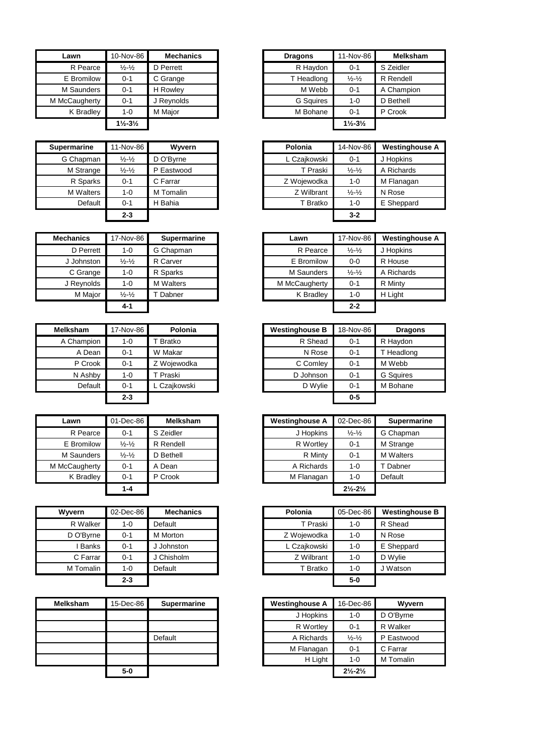| Lawn          | 10-Nov-86                     | <b>Mechanics</b> | <b>Dragons</b>   | 11-Nov-86                     | <b>Melks</b> |
|---------------|-------------------------------|------------------|------------------|-------------------------------|--------------|
| R Pearce      | $\frac{1}{2} - \frac{1}{2}$   | D Perrett        | R Haydon         | $0 - 1$                       | S Zeidler    |
| E Bromilow    | $0 - 1$                       | C Grange         | T Headlong       | $\frac{1}{2}$ - $\frac{1}{2}$ | R Rendell    |
| M Saunders    | $0 - 1$                       | H Rowley         | M Webb           | $0 - 1$                       | A Champi     |
| M McCaugherty | $0 - 1$                       | J Reynolds       | <b>G</b> Squires | $1 - 0$                       | D Bethell    |
| K Bradley     | $1 - 0$                       | M Maior          | M Bohane         | $0 - 1$                       | P Crook      |
|               | $1\frac{1}{2} - 3\frac{1}{2}$ |                  |                  | $1\frac{1}{2} - 3\frac{1}{2}$ |              |

| <b>Supermarine</b> | 11-Nov-86                   | <b>Wyvern</b> | Polonia      | 14-Nov-86                   | Westing   |
|--------------------|-----------------------------|---------------|--------------|-----------------------------|-----------|
| G Chapman          | $\frac{1}{2} - \frac{1}{2}$ | D O'Byrne     | L Czajkowski | $0 - 1$                     | J Hopkins |
| M Strange          | $\frac{1}{2} - \frac{1}{2}$ | P Eastwood    | T Praski     | $\frac{1}{2} - \frac{1}{2}$ | A Richard |
| R Sparks           | $0 - 1$                     | C Farrar      | Z Wojewodka  | $1 - 0$                     | M Flanaga |
| <b>M</b> Walters   | $1 - 0$                     | M Tomalin     | Z Wilbrant   | $\frac{1}{2} - \frac{1}{2}$ | N Rose    |
| Default            | $0 - 1$                     | H Bahia       | T Bratko     | $1 - 0$                     | E Sheppa  |
|                    | $2 - 3$                     |               |              | $3 - 2$                     |           |

| <b>Mechanics</b> | 17-Nov-86                   | <b>Supermarine</b> | Lawn          | 17-Nov-86                   | Westing  |
|------------------|-----------------------------|--------------------|---------------|-----------------------------|----------|
| D Perrett        | 1-0                         | G Chapman          | R Pearce      | $\frac{1}{2} - \frac{1}{2}$ | J Hopkin |
| J Johnston       | $\frac{1}{2} - \frac{1}{2}$ | R Carver           | E Bromilow    | $0 - 0$                     | R House  |
| C Grange         | 1-0                         | R Sparks           | M Saunders    | $\frac{1}{2} - \frac{1}{2}$ | A Richar |
| J Reynolds       | $1 - 0$                     | <b>M</b> Walters   | M McCaugherty | $0 - 1$                     | R Minty  |
| M Major          | $\frac{1}{2} - \frac{1}{2}$ | Dabner             | K Bradley     | $1 - 0$                     | H Light  |
|                  | $4 - 1$                     |                    |               | $2 - 2$                     |          |

| <b>Melksham</b> | 17-Nov-86 | Polonia             | <b>Westinghouse B</b> | 18-Nov-86 | Drag             |
|-----------------|-----------|---------------------|-----------------------|-----------|------------------|
| A Champion      | $1 - 0$   | Bratko              | R Shead               | $0 - 1$   | R Haydon         |
| A Dean          | $0 - 1$   | W Makar             | N Rose                | $0 - 1$   | T Headlor        |
| P Crook         | $0 - 1$   | Z Wojewodka         | C Comley              | $0 - 1$   | M Webb           |
| N Ashby         | $1 - 0$   | <sup>.</sup> Praski | D Johnson             | $0 - 1$   | <b>G</b> Squires |
| Default         | $0 - 1$   | . Czaikowski        | D Wylie               | $0 - 1$   | M Bohane         |
|                 | $2 - 3$   |                     |                       | $0-5$     |                  |

| Lawn          | 01-Dec-86                   | <b>Melksham</b> | <b>Westinghouse A</b> | 02-Dec-86                   | Supern           |
|---------------|-----------------------------|-----------------|-----------------------|-----------------------------|------------------|
| R Pearce      | $0 - 1$                     | S Zeidler       | J Hopkins             | $\frac{1}{2} - \frac{1}{2}$ | G Chapma         |
| E Bromilow    | $\frac{1}{2} - \frac{1}{2}$ | R Rendell       | R Wortley             | $0 - 1$                     | M Strange        |
| M Saunders    | $\frac{1}{2} - \frac{1}{2}$ | D Bethell       | R Minty               | $0 - 1$                     | <b>M</b> Walters |
| M McCaugherty | $0 - 1$                     | A Dean          | A Richards            | 1-0                         | T Dabner         |
| K Bradley     | $0 - 1$                     | P Crook         | M Flanagan            | 1-0                         | Default          |
|               | $1 - A$                     |                 |                       | 21/221/2                    |                  |

| Wyvern       | 02-Dec-86 | <b>Mechanics</b> | Polonia      | 05-Dec-86 | Westin  |
|--------------|-----------|------------------|--------------|-----------|---------|
| R Walker     | $1 - 0$   | Default          | T Praski     | $1 - 0$   | R Shea  |
| D O'Byrne    | $0 - 1$   | M Morton         | Z Wojewodka  | $1 - 0$   | N Rose  |
| <b>Banks</b> | $0 - 1$   | J Johnston       | L Czajkowski | $1 - 0$   | E Shep  |
| C Farrar     | $0 - 1$   | J Chisholm       | Z Wilbrant   | $1 - 0$   | D Wylie |
| M Tomalin    | $1 - 0$   | Default          | T Bratko     | $1 - 0$   | J Wats  |
|              | $2 - 3$   |                  |              | $5-0$     |         |

| <b>Melksham</b> | 15-Dec-86 | <b>Supermarine</b> | <b>Westinghouse A</b> | 16-Dec-86                     | Wyvern     |
|-----------------|-----------|--------------------|-----------------------|-------------------------------|------------|
|                 |           |                    | J Hopkins             | 1-0                           | D O'Byrne  |
|                 |           |                    | R Wortley             | $0 - 1$                       | R Walker   |
|                 |           | Default            | A Richards            | $\frac{1}{2} - \frac{1}{2}$   | P Eastwood |
|                 |           |                    | M Flanagan            | $0 - 1$                       | C Farrar   |
|                 |           |                    | H Light               | $1 - 0$                       | M Tomalin  |
|                 | $5-0$     |                    |                       | $2\frac{1}{2} - 2\frac{1}{2}$ |            |

| Lawn               | 10-Nov-86                     | <b>Mechanics</b> | <b>Dragons</b>   | 11-Nov-86                     | <b>Melksham</b> |
|--------------------|-------------------------------|------------------|------------------|-------------------------------|-----------------|
| R Pearce           | $\frac{1}{2} - \frac{1}{2}$   | D Perrett        | R Haydon         | $0 - 1$                       | S Zeidler       |
| E Bromilow         | $0 - 1$                       | C Grange         | T Headlong       | $\frac{1}{2} - \frac{1}{2}$   | R Rendell       |
| M Saunders         | $0 - 1$                       | H Rowley         | M Webb           | $0 - 1$                       | A Champion      |
| <b>IcCaugherty</b> | $0 - 1$                       | J Reynolds       | <b>G</b> Squires | $1 - 0$                       | D Bethell       |
| K Bradley          | $1 - 0$                       | M Maior          | M Bohane         | $0 - 1$                       | P Crook         |
|                    | $1\frac{1}{2} - 3\frac{1}{2}$ |                  |                  | $1\frac{1}{2} - 3\frac{1}{2}$ |                 |

| <b>Supermarine</b> | 11-Nov-86                   | Wyvern     | Polonia      | 14-Nov-86                   | <b>Westinghouse A</b> |
|--------------------|-----------------------------|------------|--------------|-----------------------------|-----------------------|
| G Chapman          | $\frac{1}{2} - \frac{1}{2}$ | D O'Byrne  | L Czajkowski | $0 - 1$                     | J Hopkins             |
| M Strange          | $\frac{1}{2} - \frac{1}{2}$ | P Eastwood | T Praski     | $\frac{1}{2} - \frac{1}{2}$ | A Richards            |
| R Sparks           | $0 - 1$                     | C Farrar   | Z Wojewodka  | $1 - 0$                     | M Flanagan            |
| <b>M</b> Walters   | $1 - 0$                     | M Tomalin  | Z Wilbrant   | $\frac{1}{2} - \frac{1}{2}$ | N Rose                |
| Default            | $0 - 1$                     | H Bahia    | T Bratko     | $1 - 0$                     | E Sheppard            |
|                    | $2 - 3$                     |            |              | $3 - 2$                     |                       |

| Mechanics  | 17-Nov-86                   | Supermarine      | Lawn          | 17-Nov-86                   | <b>Westinghouse A</b> |
|------------|-----------------------------|------------------|---------------|-----------------------------|-----------------------|
| D Perrett  | $1 - 0$                     | G Chapman        | R Pearce      | $\frac{1}{2} - \frac{1}{2}$ | J Hopkins             |
| J Johnston | $\frac{1}{2} - \frac{1}{2}$ | R Carver         | E Bromilow    | $0-0$                       | R House               |
| C Grange   | 1-0                         | R Sparks         | M Saunders    | $\frac{1}{2} - \frac{1}{2}$ | A Richards            |
| J Reynolds | 1-0                         | <b>M</b> Walters | M McCaugherty | $0 - 1$                     | R Minty               |
| M Major    | $\frac{1}{2} - \frac{1}{2}$ | T Dabner         | K Bradley     | $1 - 0$                     | H Light               |
|            | 4-1                         |                  |               | $2 - 2$                     |                       |

| <b>Melksham</b> | 17-Nov-86 | Polonia      | <b>Westinghouse B</b> | 18-Nov-86 | <b>Dragons</b>   |
|-----------------|-----------|--------------|-----------------------|-----------|------------------|
| A Champion      | $1 - 0$   | T Bratko     | R Shead               | $0 - 1$   | R Haydon         |
| A Dean          | $0 - 1$   | W Makar      | N Rose                | $0 - 1$   | T Headlong       |
| P Crook         | $0 - 1$   | Z Wojewodka  | C Comley              | $0 - 1$   | M Webb           |
| N Ashby         | $1-0$     | T Praski     | D Johnson             | $0 - 1$   | <b>G</b> Sauires |
| Default         | $0 - 1$   | L Czaikowski | D Wylie               | $0 - 1$   | M Bohane         |
|                 | $2 - 3$   |              |                       | $0-5$     |                  |

| Lawn               | 01-Dec-86                   | <b>Melksham</b> | <b>Westinghouse A</b> | 02-Dec-86                     | <b>Supermarine</b> |
|--------------------|-----------------------------|-----------------|-----------------------|-------------------------------|--------------------|
| R Pearce           | $0 - 1$                     | S Zeidler       | J Hopkins             | $\frac{1}{2} - \frac{1}{2}$   | G Chapman          |
| E Bromilow         | $\frac{1}{2} - \frac{1}{2}$ | R Rendell       | R Wortley             | $0 - 1$                       | M Strange          |
| M Saunders         | $\frac{1}{2} - \frac{1}{2}$ | D Bethell       | R Minty               | $0 - 1$                       | <b>M</b> Walters   |
| <b>IcCaugherty</b> | $0 - 1$                     | A Dean          | A Richards            | $1 - 0$                       | T Dabner           |
| K Bradley          | $0 - 1$                     | P Crook         | M Flanagan            | $1 - 0$                       | Default            |
|                    | $1 - 4$                     |                 |                       | $2\frac{1}{2} - 2\frac{1}{2}$ |                    |

| Wvvern       | 02-Dec-86 | <b>Mechanics</b> | Polonia      | 05-Dec-86 | <b>Westinghouse B</b> |
|--------------|-----------|------------------|--------------|-----------|-----------------------|
| R Walker     | $1 - 0$   | Default          | T Praski     | 1-0       | R Shead               |
| D O'Byrne    | $0 - 1$   | M Morton         | Z Wojewodka  | 1-0       | N Rose                |
| <b>Banks</b> | $0 - 1$   | Johnston         | L Czajkowski | 1-0       | E Sheppard            |
| C Farrar     | $0 - 1$   | J Chisholm       | Z Wilbrant   | $1 - 0$   | D Wylie               |
| M Tomalin    | $1 - 0$   | Default          | T Bratko     | 1-0       | J Watson              |
|              | $2 - 3$   |                  |              | $5-0$     |                       |

| 15-Dec-86 | <b>Supermarine</b> | <b>Westinghouse A</b> | 16-Dec-86                     | Wyvern     |
|-----------|--------------------|-----------------------|-------------------------------|------------|
|           |                    | J Hopkins             | $1 - 0$                       | D O'Byrne  |
|           |                    | R Wortley             | $0 - 1$                       | R Walker   |
|           | Default            | A Richards            | $\frac{1}{2} - \frac{1}{2}$   | P Eastwood |
|           |                    | M Flanagan            | $0 - 1$                       | C Farrar   |
|           |                    | H Light               | $1 - 0$                       | M Tomalin  |
| $5-0$     |                    |                       | $2\frac{1}{2} - 2\frac{1}{2}$ |            |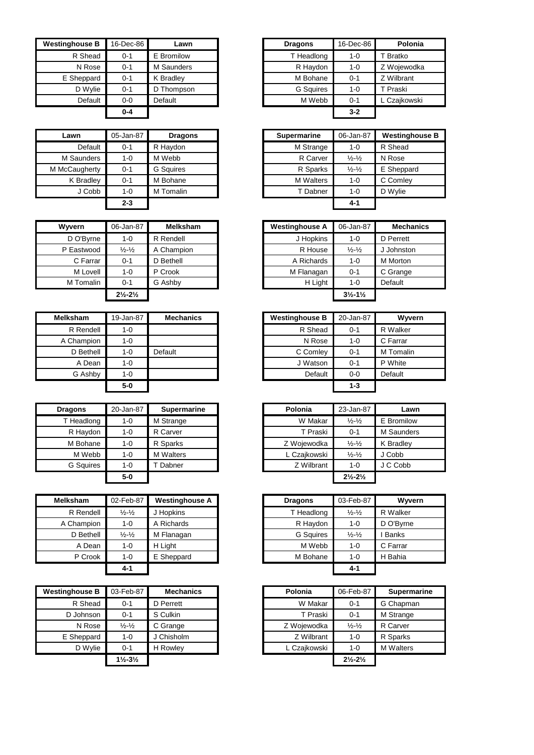| <b>Westinghouse B</b> | 16-Dec-86 | Lawn       | <b>Dragons</b>   | 16-Dec-86 | Polonia      |
|-----------------------|-----------|------------|------------------|-----------|--------------|
| R Shead               | $0 - 1$   | E Bromilow | T Headlong       | 1-0       | T Bratko     |
| N Rose                | $0 - 1$   | M Saunders | R Haydon         | $1 - 0$   | Z Wojewodka  |
| E Sheppard            | $0 - 1$   | K Bradley  | M Bohane         | $0 - 1$   | Z Wilbrant   |
| D Wylie               | $0 - 1$   | D Thompson | <b>G</b> Squires | $1 - 0$   | T Praski     |
| Default               | $0-0$     | Default    | M Webb           | $0 - 1$   | L Czajkowski |
|                       | $0 - 4$   |            |                  | $3-2$     |              |

| Lawn          | 05-Jan-87 | <b>Dragons</b>   | <b>Supermarine</b> | 06-Jan-87                   | Westingho  |
|---------------|-----------|------------------|--------------------|-----------------------------|------------|
| Default       | $0 - 1$   | R Havdon         | M Strange          | $1 - 0$                     | R Shead    |
| M Saunders    | $1 - 0$   | M Webb           | R Carver           | $\frac{1}{2} - \frac{1}{2}$ | N Rose     |
| M McCaugherty | $0 - 1$   | <b>G</b> Sauires | R Sparks           | $\frac{1}{2} - \frac{1}{2}$ | E Sheppard |
| K Bradley     | $0 - 1$   | M Bohane         | <b>M</b> Walters   | $1 - 0$                     | C Comley   |
| J Cobb        | $1 - 0$   | M Tomalin        | T Dabner           | $1 - 0$                     | D Wylie    |
|               | $2 - 3$   |                  |                    | $4 - 1$                     |            |

| Wyvern     | 06-Jan-87                     | <b>Melksham</b> | <b>Westinghouse A</b> | 06-Jan-87                     | Mecha           |
|------------|-------------------------------|-----------------|-----------------------|-------------------------------|-----------------|
| D O'Byrne  | $1 - 0$                       | R Rendell       | J Hopkins             | 1-0                           | D Perrett       |
| P Eastwood | $\frac{1}{2} - \frac{1}{2}$   | A Champion      | R House               | $\frac{1}{2} - \frac{1}{2}$   | J Johnston      |
| C Farrar   | $0 - 1$                       | D Bethell       | A Richards            | $1 - 0$                       | <b>M</b> Morton |
| M Lovell   | $1 - 0$                       | P Crook         | M Flanagan            | $0 - 1$                       | C Grange        |
| M Tomalin  | $0 - 1$                       | G Ashby         | H Light               | $1 - 0$                       | Default         |
|            | $2\frac{1}{2} - 2\frac{1}{2}$ |                 |                       | $3\frac{1}{2} - 1\frac{1}{2}$ |                 |

| Melksham   | 19-Jan-87 | <b>Mechanics</b> | <b>Westinghouse B</b> | 20-Jan-87 |
|------------|-----------|------------------|-----------------------|-----------|
| R Rendell  | 1-0       |                  | R Shead               | $0 - 1$   |
| A Champion | 1-0       |                  | N Rose                | 1-0       |
| D Bethell  | 1-0       | Default          | C Comley              | $0 - 1$   |
| A Dean     | 1-0       |                  | J Watson              | $0 - 1$   |
| G Ashby    | 1-0       |                  | Default               | $0 - 0$   |
|            | $5-0$     |                  |                       | $1 - 3$   |

| <b>Dragons</b> | 20-Jan-87 | <b>Supermarine</b> | Polonia      | 23-Jan-87                     | Lawn       |
|----------------|-----------|--------------------|--------------|-------------------------------|------------|
| T Headlong     | 1-0       | M Strange          | W Makar      | $\frac{1}{2} - \frac{1}{2}$   | E Bromilow |
| R Haydon       | 1-0       | R Carver           | T Praski     | $0 - 1$                       | M Saunders |
| M Bohane       | 1-0       | R Sparks           | Z Wojewodka  | $\frac{1}{2} - \frac{1}{2}$   | K Bradley  |
| M Webb         | 1-0       | <b>M</b> Walters   | L Czajkowski | $\frac{1}{2} - \frac{1}{2}$   | J Cobb     |
| G Squires      | 1-0       | Dabner             | Z Wilbrant   | $1 - 0$                       | J C Cobb   |
|                | 5-0       |                    |              | $2\frac{1}{2} - 2\frac{1}{2}$ |            |

| <b>Melksham</b> | 02-Feb-87                     | <b>Westinghouse A</b> | <b>Dragons</b>   | 03-Feb-87                   | Wyvern    |
|-----------------|-------------------------------|-----------------------|------------------|-----------------------------|-----------|
| R Rendell       | $\frac{1}{2} - \frac{1}{2}$   | J Hopkins             | T Headlong       | $\frac{1}{2} - \frac{1}{2}$ | R Walker  |
| A Champion      | $1 - 0$                       | A Richards            | R Haydon         | $1 - 0$                     | D O'Byrne |
| D Bethell       | $\frac{1}{2}$ - $\frac{1}{2}$ | M Flanagan            | <b>G</b> Squires | $\frac{1}{2} - \frac{1}{2}$ | I Banks   |
| A Dean          | $1 - 0$                       | H Light               | M Webb           | 1-0                         | C Farrar  |
| P Crook         | $1 - 0$                       | E Sheppard            | M Bohane         | $1 - 0$                     | H Bahia   |
|                 | 4-1                           |                       |                  | $4 - 1$                     |           |

| <b>Westinghouse B</b> | 03-Feb-87                     | <b>Mechanics</b> | Polonia      | 06-Feb-87                     | <b>Supermarine</b> |
|-----------------------|-------------------------------|------------------|--------------|-------------------------------|--------------------|
| R Shead               | $0 - 1$                       | D Perrett        | W Makar      | $0 - 1$                       | G Chapman          |
| D Johnson             | $0 - 1$                       | S Culkin         | T Praski     | $0 - 1$                       | M Strange          |
| N Rose                | $\frac{1}{2} - \frac{1}{2}$   | C Grange         | Z Wojewodka  | $\frac{1}{2} - \frac{1}{2}$   | R Carver           |
| E Sheppard            | 1-0                           | J Chisholm       | Z Wilbrant   | $1 - 0$                       | R Sparks           |
| D Wylie               | $0 - 1$                       | <b>H</b> Rowlev  | L Czaikowski | $1 - 0$                       | <b>M</b> Walters   |
|                       | $1\frac{1}{2} - 3\frac{1}{2}$ |                  |              | $2\frac{1}{2} - 2\frac{1}{2}$ |                    |

| 16-Dec-86 | ∟awn       | <b>Dragons</b>   | 16-Dec-86 | Polonia      |
|-----------|------------|------------------|-----------|--------------|
| $0 - 1$   | E Bromilow | T Headlong       | $1 - 0$   | T Bratko     |
| $0 - 1$   | M Saunders | R Haydon         | $1 - 0$   | Z Wojewodka  |
| $0 - 1$   | K Bradlev  | M Bohane         | $0 - 1$   | Z Wilbrant   |
| $0 - 1$   | D Thompson | <b>G</b> Squires | $1 - 0$   | T Praski     |
| $0-0$     | Default    | M Webb           | $0 - 1$   | L Czajkowski |
| $0 - 4$   |            |                  | $3 - 2$   |              |
|           |            |                  |           |              |

| Lawn               | 05-Jan-87 | <b>Dragons</b>   |
|--------------------|-----------|------------------|
| Default            | $0 - 1$   | R Haydon         |
| M Saunders         | $1 - 0$   | M Webb           |
| <b>IcCaugherty</b> | $0 - 1$   | <b>G</b> Sauires |
| K Bradley          | $0 - 1$   | M Bohane         |
| J Cobb             | $1 - 0$   | M Tomalin        |
|                    | $2 - 3$   |                  |

| Wvvern     | 06-Jan-87                     | <b>Melksham</b> |
|------------|-------------------------------|-----------------|
| D O'Byrne  | 1-0                           | R Rendell       |
| P Eastwood | $\frac{1}{2} - \frac{1}{2}$   | A Champion      |
| C Farrar   | $0 - 1$                       | D Bethell       |
| M Lovell   | $1 - 0$                       | P Crook         |
| M Tomalin  | $0 - 1$                       | G Ashby         |
|            | $2\frac{1}{2} - 2\frac{1}{2}$ |                 |

| <b>sham</b> | 19-Jan-87 | <b>Mechanics</b> | <b>Westinghouse B</b> | 20-Jan-87 | Wyvern    |
|-------------|-----------|------------------|-----------------------|-----------|-----------|
| R Rendell   | 1-0       |                  | R Shead               | $0 - 1$   | R Walker  |
| Champion    | 1-0       |                  | N Rose                | $1 - 0$   | C Farrar  |
| D Bethell   | $1 - 0$   | Default          | C Comley              | $0 - 1$   | M Tomalin |
| A Dean      | $1 - 0$   |                  | J Watson              | $0 - 1$   | P White   |
| G Ashby     | $1 - 0$   |                  | Default               | $0 - 0$   | Default   |
|             | $5-0$     |                  |                       | $1 - 3$   |           |

| ragons     | 20-Jan-87 | <b>Supermarine</b> | Polonia      | 23-Jan-87                     | Lawn       |
|------------|-----------|--------------------|--------------|-------------------------------|------------|
| T Headlong | $1 - 0$   | M Strange          | W Makar      | $\frac{1}{2} - \frac{1}{2}$   | E Bromilow |
| R Haydon   | $1 - 0$   | R Carver           | T Praski     | $0 - 1$                       | M Saunders |
| M Bohane   | $1 - 0$   | R Sparks           | Z Wojewodka  | $\frac{1}{2} - \frac{1}{2}$   | K Bradley  |
| M Webb     | $1 - 0$   | <b>M</b> Walters   | L Czajkowski | $\frac{1}{2} - \frac{1}{2}$   | J Cobb     |
| G Squires  | $1 - 0$   | Dabner             | Z Wilbrant   | 1-0                           | J C Cobb   |
|            | $5-0$     |                    |              | $2\frac{1}{2} - 2\frac{1}{2}$ |            |

| เsham     | 02-Feb-87                   | <b>Westinghouse A</b> | <b>Dragons</b>   | 03-Feb-87                   | Wyvern       |
|-----------|-----------------------------|-----------------------|------------------|-----------------------------|--------------|
| R Rendell | $\frac{1}{2} - \frac{1}{2}$ | J Hopkins             | T Headlong       | $\frac{1}{2} - \frac{1}{2}$ | R Walker     |
| Champion  | 1-0                         | A Richards            | R Haydon         | $1 - 0$                     | D O'Byrne    |
| D Bethell | $\frac{1}{2} - \frac{1}{2}$ | M Flanagan            | <b>G</b> Squires | $\frac{1}{2} - \frac{1}{2}$ | <b>Banks</b> |
| A Dean    | 1-0                         | H Light               | M Webb           | $1 - 0$                     | C Farrar     |
| P Crook   | 1-0                         | E Sheppard            | M Bohane         | $1 - 0$                     | H Bahia      |
|           | $4 - 1$                     |                       |                  | $4 - 1$                     |              |

| ghouse B  | 03-Feb-87                     | <b>Mechanics</b> | Polonia      | 06-Feb-87                     | <b>Supermarine</b> |
|-----------|-------------------------------|------------------|--------------|-------------------------------|--------------------|
| R Shead   | $0 - 1$                       | D Perrett        | W Makar      | $0 - 1$                       | G Chapman          |
| D Johnson | $0 - 1$                       | S Culkin         | T Praski     | $0 - 1$                       | M Strange          |
| N Rose    | $\frac{1}{2} - \frac{1}{2}$   | C Grange         | Z Wojewodka  | $\frac{1}{2} - \frac{1}{2}$   | R Carver           |
| Sheppard  | 1-0                           | J Chisholm       | Z Wilbrant   | $1 - 0$                       | R Sparks           |
| D Wylie   | $0 - 1$                       | <b>H</b> Rowlev  | L Czajkowski | $1 - 0$                       | <b>M</b> Walters   |
|           | $1\frac{1}{2} - 3\frac{1}{2}$ |                  |              | $2\frac{1}{2} - 2\frac{1}{2}$ |                    |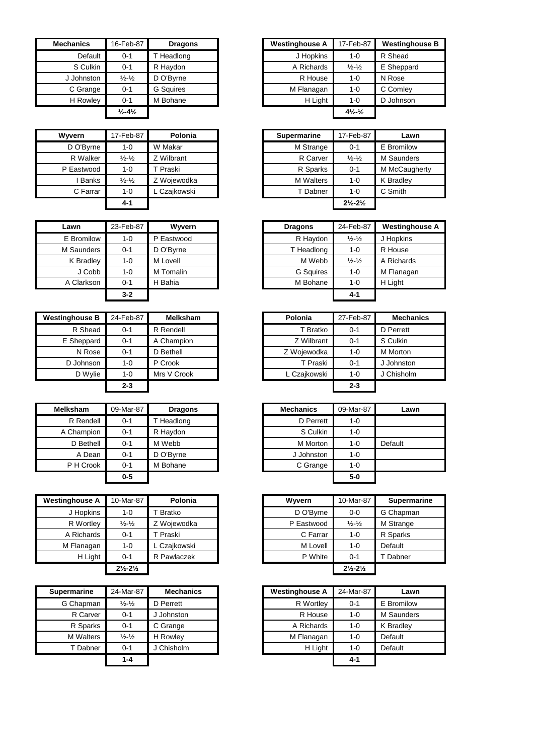| <b>Mechanics</b> | 16-Feb-87                     | <b>Dragons</b>   | <b>Westinghouse A</b> | 17-Feb-87                      |        |
|------------------|-------------------------------|------------------|-----------------------|--------------------------------|--------|
| Default          | $0 - 1$                       | T Headlong       | J Hopkins             | $1 - 0$                        | R Shea |
| S Culkin         | $0 - 1$                       | R Haydon         | A Richards            | $\frac{1}{2} - \frac{1}{2}$    |        |
| J Johnston       | $\frac{1}{2}$ - $\frac{1}{2}$ | D O'Byrne        | R House               | $1 - 0$                        |        |
| C Grange         | $0 - 1$                       | <b>G</b> Squires | M Flanagan            | $1 - 0$                        |        |
| H Rowley         | $0 - 1$                       | M Bohane         | H Light               | $1 - 0$                        |        |
|                  | $\frac{1}{2} - 4\frac{1}{2}$  |                  |                       | $4\frac{1}{2}$ - $\frac{1}{2}$ |        |

| Wyvern     | 17-Feb-87                     | Polonia      |
|------------|-------------------------------|--------------|
| D O'Byrne  | $1 - 0$                       | W Makar      |
| R Walker   | $\frac{1}{2}$ $\frac{1}{2}$   | Z Wilbrant   |
| P Eastwood | $1 - 0$                       | T Praski     |
| I Banks    | $\frac{1}{2}$ - $\frac{1}{2}$ | Z Wojewodka  |
| C Farrar   | $1 - 0$                       | L Czajkowski |
|            | 4-1                           |              |

| Lawn       | 23-Feb-87 | Wyvern     | <b>Dragons</b>   | 24-Feb-87                   | Westing   |
|------------|-----------|------------|------------------|-----------------------------|-----------|
| E Bromilow | $1 - 0$   | P Eastwood | R Haydon         | $\frac{1}{2} - \frac{1}{2}$ | J Hopkins |
| M Saunders | $0 - 1$   | D O'Byrne  | T Headlong       | $1 - 0$                     | R House   |
| K Bradley  | $1 - 0$   | M Lovell   | M Webb           | $\frac{1}{2} - \frac{1}{2}$ | A Richard |
| J Cobb     | $1 - 0$   | M Tomalin  | <b>G</b> Squires | $1 - 0$                     | M Flanaga |
| A Clarkson | $0 - 1$   | H Bahia    | M Bohane         | $1 - 0$                     | H Light   |
|            | $3 - 2$   |            |                  | $4 - 1$                     |           |

| <b>Westinghouse B</b> | 24-Feb-87 | <b>Melksham</b> | Polonia      | 27-Feb-87 | <b>Mechanics</b> |
|-----------------------|-----------|-----------------|--------------|-----------|------------------|
| R Shead               | $0 - 1$   | R Rendell       | T Bratko     | $0 - 1$   | D Perrett        |
| E Sheppard            | $0 - 1$   | A Champion      | Z Wilbrant   | $0 - 1$   | S Culkin         |
| N Rose                | $0 - 1$   | D Bethell       | Z Woiewodka  | $1 - 0$   | M Morton         |
| D Johnson             | 1-0       | P Crook         | T Praski     | $0 - 1$   | J Johnston       |
| D Wylie               | 1-0       | Mrs V Crook     | L Czajkowski | 1-0       | J Chisholm       |
|                       | $2 - 3$   |                 |              | $2 - 3$   |                  |

| <b>Melksham</b> | 09-Mar-87 | <b>Dragons</b> | <b>Mechanics</b> | 09-Mar-87 | Lawn    |
|-----------------|-----------|----------------|------------------|-----------|---------|
| R Rendell       | $0 - 1$   | Headlong       | D Perrett        | $1 - 0$   |         |
| A Champion      | $0 - 1$   | R Havdon       | S Culkin         | $1 - 0$   |         |
| D Bethell       | $0 - 1$   | M Webb         | M Morton         | $1 - 0$   | Default |
| A Dean          | $0 - 1$   | D O'Byrne      | J Johnston       | 1-0       |         |
| P H Crook       | $0 - 1$   | M Bohane       | C Grange         | $1 - 0$   |         |
|                 | $0-5$     |                |                  | $5-0$     |         |

| <b>Westinghouse A</b> | 10-Mar-87                     | Polonia      | Wyvern     | 10-Mar-87                     | <b>Supermarine</b> |
|-----------------------|-------------------------------|--------------|------------|-------------------------------|--------------------|
| J Hopkins             | $1 - 0$                       | T Bratko     | D O'Byrne  | $0 - 0$                       | G Chapman          |
| R Wortley             | $\frac{1}{2} - \frac{1}{2}$   | Z Wojewodka  | P Eastwood | $\frac{1}{2} - \frac{1}{2}$   | M Strange          |
| A Richards            | $0 - 1$                       | T Praski     | C Farrar   | $1 - 0$                       | R Sparks           |
| M Flanagan            | $1 - 0$                       | L Czajkowski | M Lovell   | $1 - 0$                       | Default            |
| H Light               | $0 - 1$                       | R Pawlaczek  | P White    | $0 - 1$                       | Dabner             |
|                       | $2\frac{1}{2} - 2\frac{1}{2}$ |              |            | $2\frac{1}{2} - 2\frac{1}{2}$ |                    |

| <b>Supermarine</b> | 24-Mar-87                   | <b>Mechanics</b> | <b>Westinghouse A</b> | 24-Mar-87 |
|--------------------|-----------------------------|------------------|-----------------------|-----------|
| G Chapman          | $\frac{1}{2} - \frac{1}{2}$ | D Perrett        | R Wortley             | $0 - 1$   |
| R Carver           | $0 - 1$                     | J Johnston       | R House               | $1 - 0$   |
| R Sparks           | $0 - 1$                     | C Grange         | A Richards            | $1 - 0$   |
| <b>M</b> Walters   | $\frac{1}{2} - \frac{1}{2}$ | H Rowley         | M Flanagan            | $1 - 0$   |
| T Dabner           | $0 - 1$                     | J Chisholm       | H Light               | $1 - 0$   |
|                    | $1 - 4$                     |                  |                       | $4 - 1$   |

| Mechanics  | 16-Feb-87                    | <b>Dragons</b>   |
|------------|------------------------------|------------------|
| Default    | $0 - 1$                      | Headlong         |
| S Culkin   | $0 - 1$                      | R Haydon         |
| J Johnston | $\frac{1}{2} - \frac{1}{2}$  | D O'Byrne        |
| C Grange   | $0 - 1$                      | <b>G</b> Squires |
| H Rowley   | $0 - 1$                      | M Bohane         |
|            | $\frac{1}{2} - 4\frac{1}{2}$ |                  |

| Wvvern     | 17-Feb-87                   | Polonia      |
|------------|-----------------------------|--------------|
| D O'Byrne  | 1-0                         | W Makar      |
| R Walker   | $\frac{1}{2} - \frac{1}{2}$ | Z Wilbrant   |
| P Eastwood | $1 - 0$                     | T Praski     |
| Banks      | $\frac{1}{2} - \frac{1}{2}$ | Z Wojewodka  |
| C Farrar   | $1 - 0$                     | L Czajkowski |
|            | $4 - 1$                     |              |

| Lawn       | 23-Feb-87 | Wyvern     | <b>Dragons</b>   | 24-Feb-87                   | <b>Westinghouse A</b> |
|------------|-----------|------------|------------------|-----------------------------|-----------------------|
| E Bromilow | $1 - 0$   | P Eastwood | R Haydon         | $\frac{1}{2} - \frac{1}{2}$ | J Hopkins             |
| M Saunders | $0 - 1$   | D O'Byrne  | T Headlong       | $1 - 0$                     | R House               |
| K Bradley  | $1 - 0$   | M Lovell   | M Webb           | $\frac{1}{2} - \frac{1}{2}$ | A Richards            |
| J Cobb     | $1 - 0$   | M Tomalin  | <b>G</b> Squires | $1 - 0$                     | M Flanagan            |
| A Clarkson | $0 - 1$   | H Bahia    | M Bohane         | 1-0                         | H Light               |
|            | $3 - 2$   |            |                  | $4 - 1$                     |                       |

| ghouse B  | 24-Feb-87 | <b>Melksham</b> | Polonia     |              | 27-Feb-87 | <b>Mechanics</b> |
|-----------|-----------|-----------------|-------------|--------------|-----------|------------------|
| R Shead   | $0 - 1$   | R Rendell       |             | T Bratko     | $0 - 1$   | D Perrett        |
| Sheppard  | $0 - 1$   | A Champion      |             | Z Wilbrant   | $0 - 1$   | S Culkin         |
| N Rose    | $0 - 1$   | D Bethell       | Z Woiewodka |              | $1 - 0$   | M Morton         |
| D Johnson | 1-0       | P Crook         |             | T Praski     | $0 - 1$   | J Johnston       |
| D Wylie   | 1-0       | Mrs V Crook     |             | L Czajkowski | $1 - 0$   | J Chisholm       |
|           | $2 - 3$   |                 |             |              | $2 - 3$   |                  |

| Mar-87  | <b>Dragons</b> | <b>Mechanics</b> | 09-Mar-87 | Lawn    |
|---------|----------------|------------------|-----------|---------|
| $0 - 1$ | T Headlong     | D Perrett        | $1 - 0$   |         |
| $0 - 1$ | R Haydon       | S Culkin         | $1 - 0$   |         |
| $0 - 1$ | M Webb         | M Morton         | $1 - 0$   | Default |
| $0 - 1$ | D O'Byrne      | J Johnston       | $1 - 0$   |         |
| $0 - 1$ | M Bohane       | C Grange         | $1 - 0$   |         |
| $0 - 5$ |                |                  | $5-0$     |         |

| ahouse A  | 10-Mar-87                     | Polonia      | Wyvern     | 10-Mar-87                     | <b>Supermarine</b> |
|-----------|-------------------------------|--------------|------------|-------------------------------|--------------------|
| J Hopkins | 1-0                           | T Bratko     | D O'Byrne  | $0 - 0$                       | G Chapman          |
| R Wortley | $\frac{1}{2} - \frac{1}{2}$   | Z Wojewodka  | P Eastwood | $\frac{1}{2} - \frac{1}{2}$   | M Strange          |
| Richards  | $0 - 1$                       | T Praski     | C Farrar   | $1 - 0$                       | R Sparks           |
| Flanagan  | 1-0                           | L Czajkowski | M Lovell   | $1 - 0$                       | Default            |
| H Light   | $0 - 1$                       | R Pawlaczek  | P White    | $0 - 1$                       | Dabner             |
|           | $2\frac{1}{2} - 2\frac{1}{2}$ |              |            | $2\frac{1}{2} - 2\frac{1}{2}$ |                    |
|           |                               |              |            |                               |                    |

| marine    | 24-Mar-87                     | <b>Mechanics</b> | <b>Westinghouse A</b> | 24-Mar-87 | Lawn              |
|-----------|-------------------------------|------------------|-----------------------|-----------|-------------------|
| Chapman   | $\frac{1}{2}$ - $\frac{1}{2}$ | D Perrett        | R Wortley             | $0 - 1$   | E Bromilow        |
| R Carver  | $0 - 1$                       | J Johnston       | R House               | $1 - 0$   | <b>M</b> Saunders |
| R Sparks  | $0 - 1$                       | C Grange         | A Richards            | $1 - 0$   | K Bradlev         |
| A Walters | $\frac{1}{2}$ - $\frac{1}{2}$ | H Rowley         | M Flanagan            | $1 - 0$   | Default           |
| T Dabner  | $0 - 1$                       | J Chisholm       | H Light               | $1 - 0$   | Default           |
|           | $1 - 4$                       |                  |                       | $4 - 1$   |                   |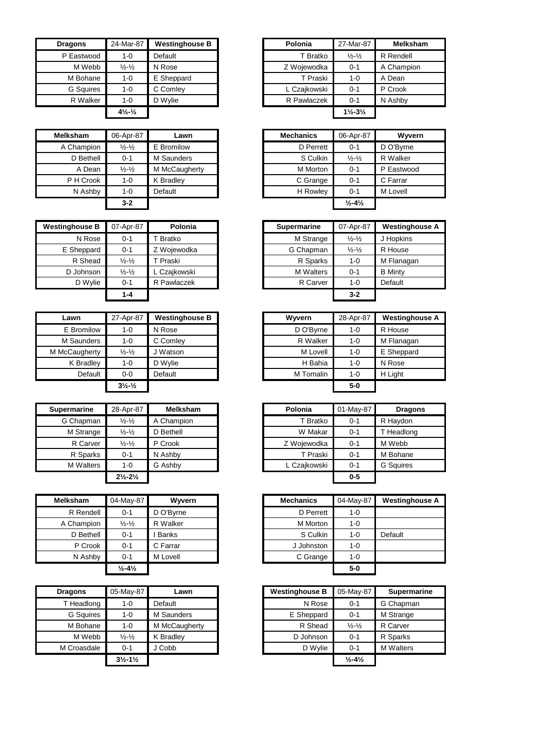| <b>Dragons</b>   | 24-Mar-87                      | <b>Westinghouse B</b> | Polonia      | 27-Mar-87                     | Melks     |
|------------------|--------------------------------|-----------------------|--------------|-------------------------------|-----------|
| P Eastwood       | $1 - 0$                        | Default               | T Bratko     | $\frac{1}{2} - \frac{1}{2}$   | R Rendell |
| M Webb           | $\frac{1}{2} - \frac{1}{2}$    | N Rose                | Z Wojewodka  | $0 - 1$                       | A Champi  |
| M Bohane         | $1 - 0$                        | E Sheppard            | T Praski     | $1 - 0$                       | A Dean    |
| <b>G</b> Squires | $1 - 0$                        | C Comley              | L Czaikowski | $0 - 1$                       | P Crook   |
| R Walker         | $1 - 0$                        | D Wylie               | R Pawlaczek  | $0 - 1$                       | N Ashby   |
|                  | $4\frac{1}{2}$ - $\frac{1}{2}$ |                       |              | $1\frac{1}{2} - 3\frac{1}{2}$ |           |

| <b>Melksham</b> | 06-Apr-87                   | Lawn          | <b>Mechanics</b> | 06-Apr-87                    |
|-----------------|-----------------------------|---------------|------------------|------------------------------|
| A Champion      | $\frac{1}{2} - \frac{1}{2}$ | E Bromilow    | D Perrett        | $0 - 1$                      |
| D Bethell       | $0 - 1$                     | M Saunders    | S Culkin         | $\frac{1}{2} - \frac{1}{2}$  |
| A Dean          | $\frac{1}{2} - \frac{1}{2}$ | M McCaugherty | M Morton         | $0 - 1$                      |
| P H Crook       | $1 - 0$                     | K Bradley     | C Grange         | $0 - 1$                      |
| N Ashby         | 1-0                         | Default       | H Rowley         | $0 - 1$                      |
|                 | $3 - 2$                     |               |                  | $\frac{1}{2} - 4\frac{1}{2}$ |

| <b>Westinghouse B</b> | 07-Apr-87                   | Polonia      | <b>Supermarine</b> | 07-Apr-87                   | Westing        |
|-----------------------|-----------------------------|--------------|--------------------|-----------------------------|----------------|
| N Rose                | $0 - 1$                     | T Bratko     | M Strange          | $\frac{1}{2} - \frac{1}{2}$ | J Hopkin       |
| E Sheppard            | $0 - 1$                     | Z Woiewodka  | G Chapman          | $\frac{1}{2} - \frac{1}{2}$ | R House        |
| R Shead               | $\frac{1}{2} - \frac{1}{2}$ | T Praski     | R Sparks           | $1 - 0$                     | M Flana        |
| D Johnson             | $\frac{1}{2} - \frac{1}{2}$ | L Czaikowski | <b>M</b> Walters   | $0 - 1$                     | <b>B</b> Minty |
| D Wylie               | $0 - 1$                     | R Pawlaczek  | R Carver           | $1 - 0$                     | Default        |
|                       | $1 - 4$                     |              |                    | $3 - 2$                     |                |

| Lawn          | 27-Apr-87                      | <b>Westinghouse B</b> | Wyvern    | 28-Apr-87 |
|---------------|--------------------------------|-----------------------|-----------|-----------|
| E Bromilow    | $1-0$                          | N Rose                | D O'Byrne | $1 - 0$   |
| M Saunders    | $1 - 0$                        | C Comley              | R Walker  | $1 - 0$   |
| M McCaugherty | $\frac{1}{2} - \frac{1}{2}$    | Watson                | M Lovell  | $1 - 0$   |
| K Bradley     | 1-0                            | D Wylie               | H Bahia   | $1 - 0$   |
| Default       | $0-0$                          | Default               | M Tomalin | $1 - 0$   |
|               | $3\frac{1}{2}$ - $\frac{1}{2}$ |                       |           | $5-0$     |

| <b>Supermarine</b> | 28-Apr-87                     | <b>Melksham</b> | Polonia      | 01-May-87 | <b>Dragons</b>   |
|--------------------|-------------------------------|-----------------|--------------|-----------|------------------|
| G Chapman          | $\frac{1}{2} - \frac{1}{2}$   | A Champion      | T Bratko     | $0 - 1$   | R Havdon         |
| M Strange          | $\frac{1}{2}$ - $\frac{1}{2}$ | D Bethell       | W Makar      | $0 - 1$   | T Headlong       |
| R Carver           | $\frac{1}{2}$ - $\frac{1}{2}$ | P Crook         | Z Wojewodka  | $0 - 1$   | M Webb           |
| R Sparks           | $0 - 1$                       | N Ashby         | T Praski     | $0 - 1$   | M Bohane         |
| <b>M</b> Walters   | 1-0                           | G Ashby         | L Czajkowski | $0 - 1$   | <b>G</b> Squires |
|                    | $2\frac{1}{2} - 2\frac{1}{2}$ |                 |              | $0 - 5$   |                  |

| <b>Melksham</b> | 04-May-87                    | Wyvern       | <b>Mechanics</b> | 04-May-87 | Westi   |
|-----------------|------------------------------|--------------|------------------|-----------|---------|
| R Rendell       | $0 - 1$                      | D O'Bvrne    | D Perrett        | 1-0       |         |
| A Champion      | $\frac{1}{2} - \frac{1}{2}$  | R Walker     | M Morton         | $1 - 0$   |         |
| D Bethell       | $0 - 1$                      | <b>Banks</b> | S Culkin         | 1-0       | Default |
| P Crook         | $0 - 1$                      | C Farrar     | J Johnston       | 1-0       |         |
| N Ashby         | $0 - 1$                      | M Lovell     | C Grange         | 1-0       |         |
|                 | $\frac{1}{2} - 4\frac{1}{2}$ |              |                  | $5-0$     |         |

| <b>Dragons</b>   | 05-May-87                     | Lawn          | <b>Westinghouse B</b> | 05-May-87                    |  |
|------------------|-------------------------------|---------------|-----------------------|------------------------------|--|
| T Headlong       | 1-0                           | Default       | N Rose                | $0 - 1$                      |  |
| <b>G</b> Squires | $1 - 0$                       | M Saunders    | E Sheppard            | $0 - 1$                      |  |
| M Bohane         | $1 - 0$                       | M McCaugherty | R Shead               | $\frac{1}{2} - \frac{1}{2}$  |  |
| M Webb           | $\frac{1}{2} - \frac{1}{2}$   | K Bradley     | D Johnson             | $0 - 1$                      |  |
| M Croasdale      | $0 - 1$                       | J Cobb        | D Wylie               | $0 - 1$                      |  |
|                  | $3\frac{1}{2} - 1\frac{1}{2}$ |               |                       | $\frac{1}{2} - 4\frac{1}{2}$ |  |

| <b>Dragons</b>   | 24-Mar-87                                   | <b>Westinghouse B</b> |
|------------------|---------------------------------------------|-----------------------|
| P Eastwood       | $1 - 0$                                     | Default               |
| M Webb           | $\frac{1}{2} - \frac{1}{2}$                 | N Rose                |
| M Bohane         | $1 - 0$                                     | E Sheppard            |
| <b>G</b> Squires | $1 - 0$                                     | C Comley              |
| R Walker         | $1 - 0$                                     | D Wylie               |
|                  | $4\frac{1}{2}$ <sup>-1</sup> / <sub>2</sub> |                       |

| sham      | 06-Apr-87                     | Lawn          | <b>Mechanics</b> | 06-Apr-87                    | Wyvern     |
|-----------|-------------------------------|---------------|------------------|------------------------------|------------|
| hampion:  | $\frac{1}{2}$ - $\frac{1}{2}$ | E Bromilow    | D Perrett        | $0 - 1$                      | D O'Byrne  |
| D Bethell | $0 - 1$                       | M Saunders    | S Culkin         | $\frac{1}{2} - \frac{1}{2}$  | R Walker   |
| A Dean    | $\frac{1}{2} - \frac{1}{2}$   | M McCaugherty | M Morton         | $0 - 1$                      | P Eastwood |
| H Crook   | $1 - 0$                       | K Bradley     | C Grange         | $0 - 1$                      | C Farrar   |
| N Ashby   | $1 - 0$                       | Default       | H Rowley         | $0 - 1$                      | M Lovell   |
|           | $3 - 2$                       |               |                  | $\frac{1}{2} - 4\frac{1}{2}$ |            |

| <b>Westinghouse B</b> | 07-Apr-87                   | Polonia      | <b>Supermarine</b> | 07-Apr-87                   | <b>Westinghouse A</b> |
|-----------------------|-----------------------------|--------------|--------------------|-----------------------------|-----------------------|
| N Rose                | $0 - 1$                     | Γ Bratko     | M Strange          | $\frac{1}{2} - \frac{1}{2}$ | J Hopkins             |
| E Sheppard            | $0 - 1$                     | Z Wojewodka  | G Chapman          | $\frac{1}{2} - \frac{1}{2}$ | R House               |
| R Shead               | $\frac{1}{2} - \frac{1}{2}$ | T Praski     | R Sparks           | $1 - 0$                     | M Flanagan            |
| D Johnson             | $\frac{1}{2} - \frac{1}{2}$ | L Czajkowski | <b>M</b> Walters   | $0 - 1$                     | <b>B</b> Minty        |
| D Wylie               | $0 - 1$                     | R Pawlaczek  | R Carver           | $1 - 0$                     | Default               |
|                       | $1 - 4$                     |              |                    | $3 - 2$                     |                       |

| Lawn               | 27-Apr-87                                   | <b>Westinghouse B</b> | Wyvern    | 28-Apr-87 | <b>Westinghouse A</b> |
|--------------------|---------------------------------------------|-----------------------|-----------|-----------|-----------------------|
| E Bromilow         | $1 - 0$                                     | N Rose                | D O'Byrne | $1 - 0$   | R House               |
| M Saunders         | $1 - 0$                                     | C Comley              | R Walker  | $1 - 0$   | M Flanagan            |
| <b>IcCaugherty</b> | $\frac{1}{2} - \frac{1}{2}$                 | J Watson              | M Lovell  | $1 - 0$   | E Sheppard            |
| K Bradley          | $1 - 0$                                     | D Wylie               | H Bahia   | $1 - 0$   | N Rose                |
| Default            | $0-0$                                       | Default               | M Tomalin | $1 - 0$   | H Light               |
|                    | $3\frac{1}{2}$ <sup>-1</sup> / <sub>2</sub> |                       |           | $5-0$     |                       |

| rmarine   | 28-Apr-87                     | <b>Melksham</b> | Polonia      | 01-May-87 | <b>Dragons</b>   |
|-----------|-------------------------------|-----------------|--------------|-----------|------------------|
| Chapman   | $\frac{1}{2}$ - $\frac{1}{2}$ | A Champion      | T Bratko     | $0 - 1$   | R Haydon         |
| M Strange | $\frac{1}{2} - \frac{1}{2}$   | D Bethell       | W Makar      | $0 - 1$   | T Headlong       |
| R Carver  | $\frac{1}{2}$ - $\frac{1}{2}$ | P Crook         | Z Wojewodka  | $0 - 1$   | M Webb           |
| R Sparks  | $0 - 1$                       | N Ashby         | T Praski     | $0 - 1$   | M Bohane         |
| M Walters | $1 - 0$                       | G Ashby         | L Czajkowski | $0 - 1$   | <b>G</b> Squires |
|           | $2\frac{1}{2} - 2\frac{1}{2}$ |                 |              | $0 - 5$   |                  |

| <b>Melksham</b> | 04-May-87                     | Wyvern       | <b>Mechanics</b> | 04-May-87 | <b>Westinghouse A</b> |
|-----------------|-------------------------------|--------------|------------------|-----------|-----------------------|
| R Rendell       | $0 - 1$                       | D O'Byrne    | D Perrett        | $1 - 0$   |                       |
| A Champion      | $\frac{1}{2}$ - $\frac{1}{2}$ | R Walker     | M Morton         | $1 - 0$   |                       |
| D Bethell       | $0 - 1$                       | <b>Banks</b> | S Culkin         | $1 - 0$   | Default               |
| P Crook         | $0 - 1$                       | C Farrar     | J Johnston       | $1 - 0$   |                       |
| N Ashby         | $0 - 1$                       | M Lovell     | C Grange         | 1-0       |                       |
|                 | $\frac{1}{2} - 4\frac{1}{2}$  |              |                  | $5-0$     |                       |

| <b>Dragons</b>   | 05-May-87                     | Lawn          | <b>Westinghouse B</b> | 05-May-87                    | <b>Supermarine</b> |
|------------------|-------------------------------|---------------|-----------------------|------------------------------|--------------------|
| T Headlong       | $1 - 0$                       | Default       | N Rose                | $0 - 1$                      | G Chapman          |
| <b>G</b> Sauires | 1-0                           | M Saunders    | E Sheppard            | $0 - 1$                      | M Strange          |
| M Bohane         | $1 - 0$                       | M McCaugherty | R Shead               | $\frac{1}{2} - \frac{1}{2}$  | R Carver           |
| M Webb           | $\frac{1}{2} - \frac{1}{2}$   | K Bradley     | D Johnson             | $0 - 1$                      | R Sparks           |
| M Croasdale      | $0 - 1$                       | J Cobb        | D Wylie               | $0 - 1$                      | <b>M</b> Walters   |
|                  | $3\frac{1}{2} - 1\frac{1}{2}$ |               |                       | $\frac{1}{2} - 4\frac{1}{2}$ |                    |